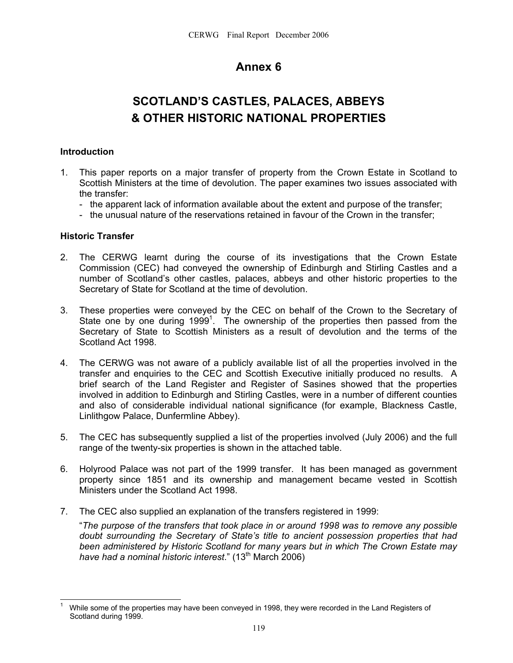## **Annex 6**

# **SCOTLAND'S CASTLES, PALACES, ABBEYS & OTHER HISTORIC NATIONAL PROPERTIES**

### **Introduction**

- 1. This paper reports on a major transfer of property from the Crown Estate in Scotland to Scottish Ministers at the time of devolution. The paper examines two issues associated with the transfer:
	- the apparent lack of information available about the extent and purpose of the transfer;
	- the unusual nature of the reservations retained in favour of the Crown in the transfer;

#### **Historic Transfer**

- 2. The CERWG learnt during the course of its investigations that the Crown Estate Commission (CEC) had conveyed the ownership of Edinburgh and Stirling Castles and a number of Scotland's other castles, palaces, abbeys and other historic properties to the Secretary of State for Scotland at the time of devolution.
- 3. These properties were conveyed by the CEC on behalf of the Crown to the Secretary of State one by one during  $1999<sup>1</sup>$ . The ownership of the properties then passed from the Secretary of State to Scottish Ministers as a result of devolution and the terms of the Scotland Act 1998.
- 4. The CERWG was not aware of a publicly available list of all the properties involved in the transfer and enquiries to the CEC and Scottish Executive initially produced no results. A brief search of the Land Register and Register of Sasines showed that the properties involved in addition to Edinburgh and Stirling Castles, were in a number of different counties and also of considerable individual national significance (for example, Blackness Castle, Linlithgow Palace, Dunfermline Abbey).
- 5. The CEC has subsequently supplied a list of the properties involved (July 2006) and the full range of the twenty-six properties is shown in the attached table.
- 6. Holyrood Palace was not part of the 1999 transfer. It has been managed as government property since 1851 and its ownership and management became vested in Scottish Ministers under the Scotland Act 1998.
- 7. The CEC also supplied an explanation of the transfers registered in 1999:

"*The purpose of the transfers that took place in or around 1998 was to remove any possible doubt surrounding the Secretary of State's title to ancient possession properties that had been administered by Historic Scotland for many years but in which The Crown Estate may have had a nominal historic interest*." (13th March 2006)

While some of the properties may have been conveyed in 1998, they were recorded in the Land Registers of Scotland during 1999.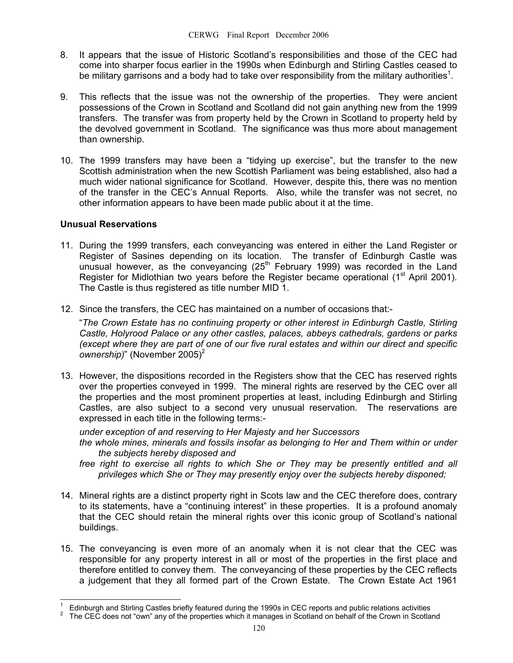- 8. It appears that the issue of Historic Scotland's responsibilities and those of the CEC had come into sharper focus earlier in the 1990s when Edinburgh and Stirling Castles ceased to be military garrisons and a body had to take over responsibility from the military authorities<sup>1</sup>.
- 9. This reflects that the issue was not the ownership of the properties. They were ancient possessions of the Crown in Scotland and Scotland did not gain anything new from the 1999 transfers. The transfer was from property held by the Crown in Scotland to property held by the devolved government in Scotland. The significance was thus more about management than ownership.
- 10. The 1999 transfers may have been a "tidying up exercise", but the transfer to the new Scottish administration when the new Scottish Parliament was being established, also had a much wider national significance for Scotland. However, despite this, there was no mention of the transfer in the CEC's Annual Reports. Also, while the transfer was not secret, no other information appears to have been made public about it at the time.

#### **Unusual Reservations**

- 11. During the 1999 transfers, each conveyancing was entered in either the Land Register or Register of Sasines depending on its location. The transfer of Edinburgh Castle was unusual however, as the conveyancing  $(25<sup>th</sup>$  February 1999) was recorded in the Land Register for Midlothian two years before the Register became operational (1<sup>st</sup> April 2001). The Castle is thus registered as title number MID 1.
- 12. Since the transfers, the CEC has maintained on a number of occasions that:-

"*The Crown Estate has no continuing property or other interest in Edinburgh Castle, Stirling Castle, Holyrood Palace or any other castles, palaces, abbeys cathedrals, gardens or parks (except where they are part of one of our five rural estates and within our direct and specific ownership*)" (November 2005)<sup>2</sup>

13. However, the dispositions recorded in the Registers show that the CEC has reserved rights over the properties conveyed in 1999. The mineral rights are reserved by the CEC over all the properties and the most prominent properties at least, including Edinburgh and Stirling Castles, are also subject to a second very unusual reservation. The reservations are expressed in each title in the following terms:-

*under exception of and reserving to Her Majesty and her Successors*

- *the whole mines, minerals and fossils insofar as belonging to Her and Them within or under the subjects hereby disposed and*
- *free right to exercise all rights to which She or They may be presently entitled and all privileges which She or They may presently enjoy over the subjects hereby disponed;*
- 14. Mineral rights are a distinct property right in Scots law and the CEC therefore does, contrary to its statements, have a "continuing interest" in these properties. It is a profound anomaly that the CEC should retain the mineral rights over this iconic group of Scotland's national buildings.
- 15. The conveyancing is even more of an anomaly when it is not clear that the CEC was responsible for any property interest in all or most of the properties in the first place and therefore entitled to convey them. The conveyancing of these properties by the CEC reflects a judgement that they all formed part of the Crown Estate. The Crown Estate Act 1961

Edinburgh and Stirling Castles briefly featured during the 1990s in CEC reports and public relations activities<br>The CEC does not "own" any of the properties which it manages in Scotland on behalf of the Crown in Scotland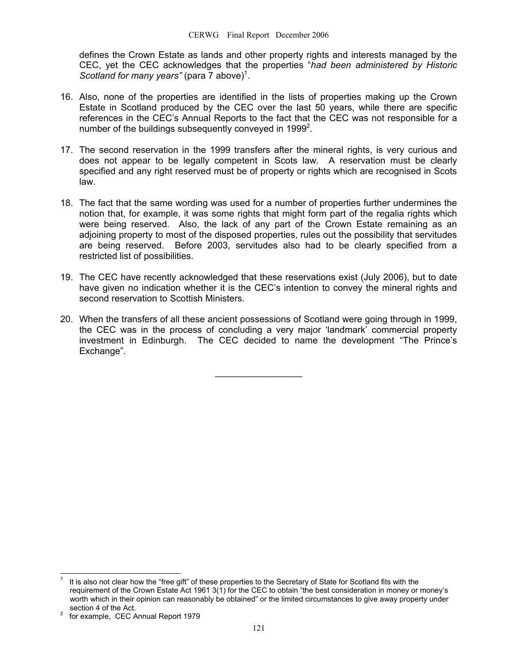defines the Crown Estate as lands and other property rights and interests managed by the CEC, yet the CEC acknowledges that the properties "*had been administered by Historic Scotland for many years"* (para 7 above) 1 .

- 16. Also, none of the properties are identified in the lists of properties making up the Crown Estate in Scotland produced by the CEC over the last 50 years, while there are specific references in the CEC's Annual Reports to the fact that the CEC was not responsible for a number of the buildings subsequently conveyed in 1999<sup>2</sup>.
- 17. The second reservation in the 1999 transfers after the mineral rights, is very curious and does not appear to be legally competent in Scots law. A reservation must be clearly specified and any right reserved must be of property or rights which are recognised in Scots law.
- 18. The fact that the same wording was used for a number of properties further undermines the notion that, for example, it was some rights that might form part of the regalia rights which were being reserved. Also, the lack of any part of the Crown Estate remaining as an adjoining property to most of the disposed properties, rules out the possibility that servitudes are being reserved. Before 2003, servitudes also had to be clearly specified from a restricted list of possibilities.
- 19. The CEC have recently acknowledged that these reservations exist (July 2006), but to date have given no indication whether it is the CEC's intention to convey the mineral rights and second reservation to Scottish Ministers.
- 20. When the transfers of all these ancient possessions of Scotland were going through in 1999, the CEC was in the process of concluding a very major 'landmark' commercial property investment in Edinburgh. The CEC decided to name the development "The Prince's Exchange".

\_\_\_\_\_\_\_\_\_\_\_\_\_\_\_\_\_

It is also not clear how the "free gift" of these properties to the Secretary of State for Scotland fits with the requirement of the Crown Estate Act 1961 3(1) for the CEC to obtain "the best consideration in money or money's worth which in their opinion can reasonably be obtained" or the limited circumstances to give away property under section 4 of the Act.<br><sup>2</sup> for example, CEC Annual Report 1979